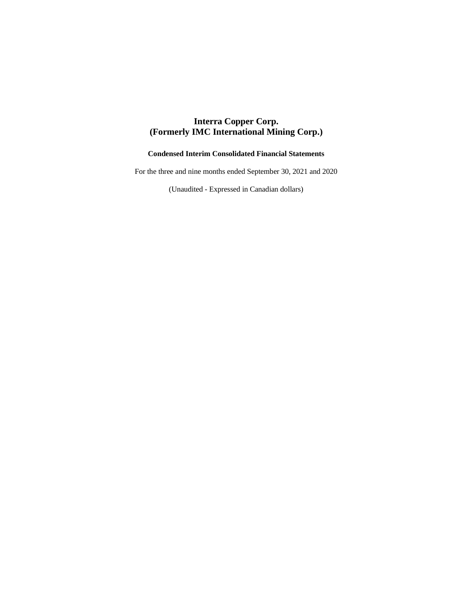# **Interra Copper Corp. (Formerly IMC International Mining Corp.)**

# **Condensed Interim Consolidated Financial Statements**

For the three and nine months ended September 30, 2021 and 2020

(Unaudited - Expressed in Canadian dollars)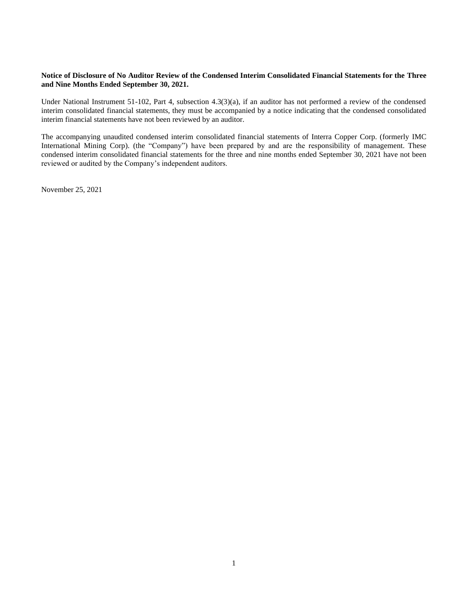# **Notice of Disclosure of No Auditor Review of the Condensed Interim Consolidated Financial Statements for the Three and Nine Months Ended September 30, 2021.**

Under National Instrument 51-102, Part 4, subsection 4.3(3)(a), if an auditor has not performed a review of the condensed interim consolidated financial statements, they must be accompanied by a notice indicating that the condensed consolidated interim financial statements have not been reviewed by an auditor.

The accompanying unaudited condensed interim consolidated financial statements of Interra Copper Corp. (formerly IMC International Mining Corp). (the "Company") have been prepared by and are the responsibility of management. These condensed interim consolidated financial statements for the three and nine months ended September 30, 2021 have not been reviewed or audited by the Company's independent auditors.

November 25, 2021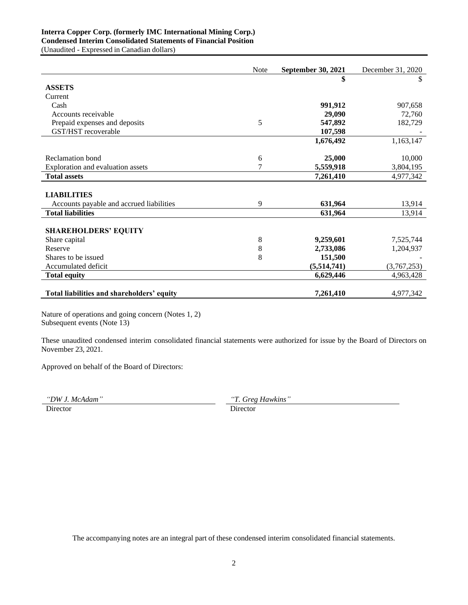# **Interra Copper Corp. (formerly IMC International Mining Corp.) Condensed Interim Consolidated Statements of Financial Position**

(Unaudited - Expressed in Canadian dollars)

|                                            | <b>Note</b> | <b>September 30, 2021</b> | December 31, 2020 |
|--------------------------------------------|-------------|---------------------------|-------------------|
|                                            |             | \$                        | \$                |
| <b>ASSETS</b>                              |             |                           |                   |
| Current                                    |             |                           |                   |
| Cash                                       |             | 991,912                   | 907,658           |
| Accounts receivable                        |             | 29,090                    | 72,760            |
| Prepaid expenses and deposits              | 5           | 547,892                   | 182,729           |
| GST/HST recoverable                        |             | 107,598                   |                   |
|                                            |             | 1,676,492                 | 1,163,147         |
| Reclamation bond                           | 6           | 25,000                    | 10,000            |
| Exploration and evaluation assets          | 7           | 5,559,918                 | 3,804,195         |
| <b>Total assets</b>                        |             | 7,261,410                 | 4,977,342         |
|                                            |             |                           |                   |
| <b>LIABILITIES</b>                         |             |                           |                   |
| Accounts payable and accrued liabilities   | 9           | 631,964                   | 13,914            |
| <b>Total liabilities</b>                   |             | 631,964                   | 13,914            |
| <b>SHAREHOLDERS' EQUITY</b>                |             |                           |                   |
| Share capital                              | 8           | 9,259,601                 | 7,525,744         |
| Reserve                                    | 8           | 2,733,086                 | 1,204,937         |
| Shares to be issued                        | 8           | 151,500                   |                   |
| Accumulated deficit                        |             | (5,514,741)               | (3,767,253)       |
| <b>Total equity</b>                        |             | 6,629,446                 | 4,963,428         |
| Total liabilities and shareholders' equity |             | 7,261,410                 | 4,977,342         |

Nature of operations and going concern (Notes 1, 2) Subsequent events (Note 13)

These unaudited condensed interim consolidated financial statements were authorized for issue by the Board of Directors on November 23, 2021.

Approved on behalf of the Board of Directors:

*"DW J. McAdam" "T. Greg Hawkins"*

Director Director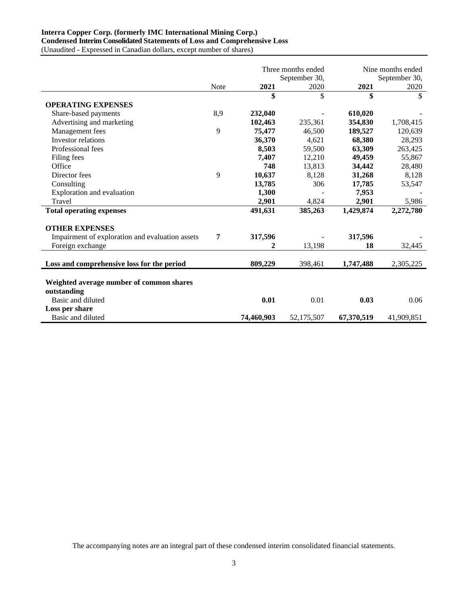# **Interra Copper Corp. (formerly IMC International Mining Corp.) Condensed Interim Consolidated Statements of Loss and Comprehensive Loss**

(Unaudited - Expressed in Canadian dollars, except number of shares)

|                                                 |             |            | Three months ended |            | Nine months ended |
|-------------------------------------------------|-------------|------------|--------------------|------------|-------------------|
|                                                 |             |            | September 30,      |            | September 30,     |
|                                                 | <b>Note</b> | 2021       | 2020               | 2021       | 2020              |
|                                                 |             | \$         | \$                 | \$         | \$                |
| <b>OPERATING EXPENSES</b>                       |             |            |                    |            |                   |
| Share-based payments                            | 8,9         | 232,040    |                    | 610,020    |                   |
| Advertising and marketing                       |             | 102,463    | 235,361            | 354,830    | 1,708,415         |
| Management fees                                 | 9           | 75,477     | 46,500             | 189,527    | 120,639           |
| Investor relations                              |             | 36,370     | 4,621              | 68,380     | 28,293            |
| Professional fees                               |             | 8,503      | 59,500             | 63,309     | 263,425           |
| Filing fees                                     |             | 7,407      | 12,210             | 49,459     | 55,867            |
| Office                                          |             | 748        | 13,813             | 34,442     | 28,480            |
| Director fees                                   | 9           | 10,637     | 8,128              | 31,268     | 8,128             |
| Consulting                                      |             | 13,785     | 306                | 17,785     | 53,547            |
| Exploration and evaluation                      |             | 1,300      |                    | 7,953      |                   |
| Travel                                          |             | 2,901      | 4,824              | 2,901      | 5,986             |
| <b>Total operating expenses</b>                 |             | 491,631    | 385,263            | 1,429,874  | 2,272,780         |
| <b>OTHER EXPENSES</b>                           |             |            |                    |            |                   |
| Impairment of exploration and evaluation assets | 7           | 317,596    |                    | 317,596    |                   |
| Foreign exchange                                |             |            | 13,198             | 18         | 32,445            |
| Loss and comprehensive loss for the period      |             | 809,229    | 398,461            | 1,747,488  | 2,305,225         |
|                                                 |             |            |                    |            |                   |
| Weighted average number of common shares        |             |            |                    |            |                   |
| outstanding                                     |             |            |                    |            |                   |
| Basic and diluted                               |             | 0.01       | 0.01               | 0.03       | 0.06              |
| Loss per share                                  |             |            |                    |            |                   |
| Basic and diluted                               |             | 74,460,903 | 52,175,507         | 67,370,519 | 41,909,851        |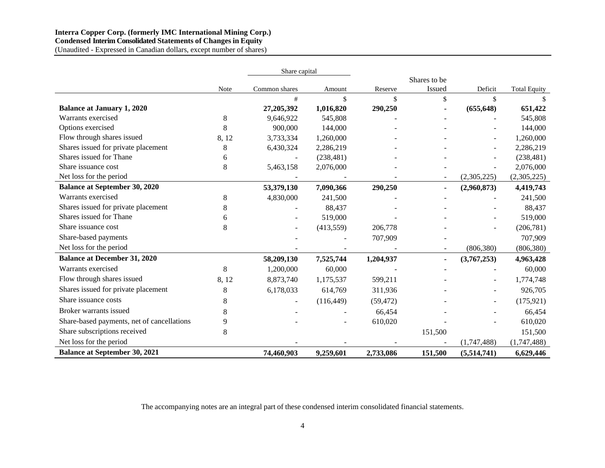### **Interra Copper Corp. (formerly IMC International Mining Corp.) Condensed Interim Consolidated Statements of Changes in Equity**  (Unaudited - Expressed in Canadian dollars, except number of shares)

|                                            |             | Share capital  |            |           |              |                |                     |
|--------------------------------------------|-------------|----------------|------------|-----------|--------------|----------------|---------------------|
|                                            |             |                |            |           | Shares to be |                |                     |
|                                            | <b>Note</b> | Common shares  | Amount     | Reserve   | Issued       | Deficit        | <b>Total Equity</b> |
|                                            |             | #              | \$         | \$        | \$           | \$             | \$                  |
| <b>Balance at January 1, 2020</b>          |             | 27,205,392     | 1,016,820  | 290,250   |              | (655, 648)     | 651,422             |
| Warrants exercised                         | 8           | 9,646,922      | 545,808    |           |              |                | 545,808             |
| Options exercised                          | 8           | 900,000        | 144,000    |           |              |                | 144,000             |
| Flow through shares issued                 | 8,12        | 3,733,334      | 1,260,000  |           |              |                | 1,260,000           |
| Shares issued for private placement        | 8           | 6,430,324      | 2,286,219  |           |              |                | 2,286,219           |
| Shares issued for Thane                    | 6           |                | (238, 481) |           |              |                | (238, 481)          |
| Share issuance cost                        | 8           | 5,463,158      | 2,076,000  |           |              |                | 2,076,000           |
| Net loss for the period                    |             |                |            |           |              | (2,305,225)    | (2,305,225)         |
| <b>Balance at September 30, 2020</b>       |             | 53,379,130     | 7,090,366  | 290,250   |              | (2,960,873)    | 4,419,743           |
| Warrants exercised                         | 8           | 4,830,000      | 241,500    |           |              |                | 241,500             |
| Shares issued for private placement        | 8           |                | 88,437     |           |              |                | 88,437              |
| Shares issued for Thane                    | 6           |                | 519,000    |           |              |                | 519,000             |
| Share issuance cost                        | 8           |                | (413, 559) | 206,778   |              |                | (206, 781)          |
| Share-based payments                       |             |                |            | 707,909   |              |                | 707,909             |
| Net loss for the period                    |             |                |            |           |              | (806, 380)     | (806, 380)          |
| <b>Balance at December 31, 2020</b>        |             | 58,209,130     | 7,525,744  | 1,204,937 | ٠            | (3,767,253)    | 4,963,428           |
| Warrants exercised                         | 8           | 1,200,000      | 60,000     |           |              |                | 60,000              |
| Flow through shares issued                 | 8,12        | 8,873,740      | 1,175,537  | 599,211   |              |                | 1,774,748           |
| Shares issued for private placement        | 8           | 6,178,033      | 614,769    | 311,936   |              |                | 926,705             |
| Share issuance costs                       | 8           | $\blacksquare$ | (116, 449) | (59, 472) |              | $\blacksquare$ | (175, 921)          |
| Broker warrants issued                     | 8           |                |            | 66,454    |              |                | 66,454              |
| Share-based payments, net of cancellations | 9           |                |            | 610,020   |              |                | 610,020             |
| Share subscriptions received               | 8           |                |            |           | 151,500      |                | 151,500             |
| Net loss for the period                    |             |                |            |           |              | (1,747,488)    | (1,747,488)         |
| <b>Balance at September 30, 2021</b>       |             | 74,460,903     | 9,259,601  | 2,733,086 | 151,500      | (5,514,741)    | 6,629,446           |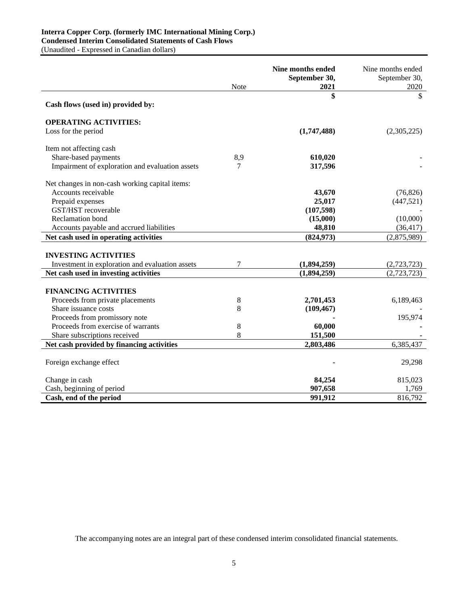# **Interra Copper Corp. (formerly IMC International Mining Corp.) Condensed Interim Consolidated Statements of Cash Flows**

(Unaudited - Expressed in Canadian dollars)

|                                                 | Note | Nine months ended<br>September 30,<br>2021 | Nine months ended<br>September 30,<br>2020 |
|-------------------------------------------------|------|--------------------------------------------|--------------------------------------------|
|                                                 |      | \$                                         | \$                                         |
| Cash flows (used in) provided by:               |      |                                            |                                            |
| <b>OPERATING ACTIVITIES:</b>                    |      |                                            |                                            |
| Loss for the period                             |      | (1,747,488)                                | (2,305,225)                                |
| Item not affecting cash                         |      |                                            |                                            |
| Share-based payments                            | 8,9  | 610,020                                    |                                            |
| Impairment of exploration and evaluation assets | 7    | 317,596                                    |                                            |
| Net changes in non-cash working capital items:  |      |                                            |                                            |
| Accounts receivable                             |      | 43,670                                     | (76, 826)                                  |
| Prepaid expenses                                |      | 25,017                                     | (447, 521)                                 |
| GST/HST recoverable                             |      | (107, 598)                                 |                                            |
| Reclamation bond                                |      | (15,000)                                   | (10,000)                                   |
| Accounts payable and accrued liabilities        |      | 48,810                                     | (36, 417)                                  |
| Net cash used in operating activities           |      | (824, 973)                                 | (2,875,989)                                |
|                                                 |      |                                            |                                            |
| <b>INVESTING ACTIVITIES</b>                     |      |                                            |                                            |
| Investment in exploration and evaluation assets | 7    | (1,894,259)                                | (2,723,723)                                |
| Net cash used in investing activities           |      | (1,894,259)                                | (2,723,723)                                |
|                                                 |      |                                            |                                            |
| <b>FINANCING ACTIVITIES</b>                     |      |                                            |                                            |
| Proceeds from private placements                | 8    | 2,701,453                                  | 6,189,463                                  |
| Share issuance costs                            | 8    | (109, 467)                                 |                                            |
| Proceeds from promissory note                   |      |                                            | 195,974                                    |
| Proceeds from exercise of warrants              | 8    | 60,000                                     |                                            |
| Share subscriptions received                    | 8    | 151,500                                    |                                            |
| Net cash provided by financing activities       |      | 2,803,486                                  | 6,385,437                                  |
| Foreign exchange effect                         |      |                                            | 29,298                                     |
|                                                 |      |                                            |                                            |
| Change in cash                                  |      | 84,254                                     | 815,023                                    |
| Cash, beginning of period                       |      | 907,658                                    | 1,769                                      |
| Cash, end of the period                         |      | 991,912                                    | 816,792                                    |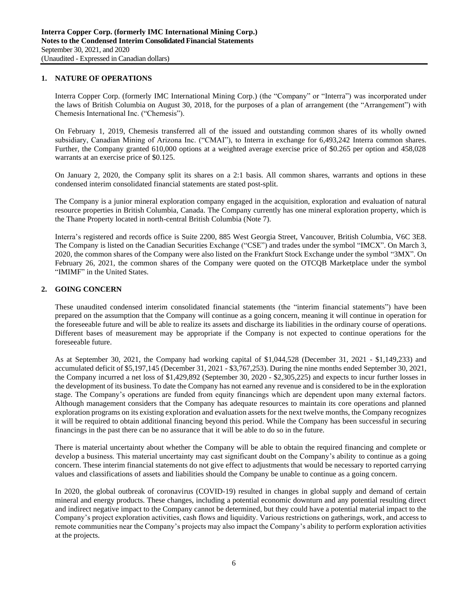### **1. NATURE OF OPERATIONS**

Interra Copper Corp. (formerly IMC International Mining Corp.) (the "Company" or "Interra") was incorporated under the laws of British Columbia on August 30, 2018, for the purposes of a plan of arrangement (the "Arrangement") with Chemesis International Inc. ("Chemesis").

On February 1, 2019, Chemesis transferred all of the issued and outstanding common shares of its wholly owned subsidiary, Canadian Mining of Arizona Inc. ("CMAI"), to Interra in exchange for 6,493,242 Interra common shares. Further, the Company granted 610,000 options at a weighted average exercise price of \$0.265 per option and 458,028 warrants at an exercise price of \$0.125.

On January 2, 2020, the Company split its shares on a 2:1 basis. All common shares, warrants and options in these condensed interim consolidated financial statements are stated post-split.

The Company is a junior mineral exploration company engaged in the acquisition, exploration and evaluation of natural resource properties in British Columbia, Canada. The Company currently has one mineral exploration property, which is the Thane Property located in north-central British Columbia (Note 7).

Interra's registered and records office is Suite 2200, 885 West Georgia Street, Vancouver, British Columbia, V6C 3E8. The Company is listed on the Canadian Securities Exchange ("CSE") and trades under the symbol "IMCX". On March 3, 2020, the common shares of the Company were also listed on the Frankfurt Stock Exchange under the symbol "3MX". On February 26, 2021, the common shares of the Company were quoted on the OTCQB Marketplace under the symbol "IMIMF" in the United States.

# **2. GOING CONCERN**

These unaudited condensed interim consolidated financial statements (the "interim financial statements") have been prepared on the assumption that the Company will continue as a going concern, meaning it will continue in operation for the foreseeable future and will be able to realize its assets and discharge its liabilities in the ordinary course of operations. Different bases of measurement may be appropriate if the Company is not expected to continue operations for the foreseeable future.

As at September 30, 2021, the Company had working capital of \$1,044,528 (December 31, 2021 - \$1,149,233) and accumulated deficit of \$5,197,145 (December 31, 2021 - \$3,767,253). During the nine months ended September 30, 2021, the Company incurred a net loss of \$1,429,892 (September 30, 2020 - \$2,305,225) and expects to incur further losses in the development of its business. To date the Company has not earned any revenue and is considered to be in the exploration stage. The Company's operations are funded from equity financings which are dependent upon many external factors. Although management considers that the Company has adequate resources to maintain its core operations and planned exploration programs on its existing exploration and evaluation assets for the next twelve months, the Company recognizes it will be required to obtain additional financing beyond this period. While the Company has been successful in securing financings in the past there can be no assurance that it will be able to do so in the future.

There is material uncertainty about whether the Company will be able to obtain the required financing and complete or develop a business. This material uncertainty may cast significant doubt on the Company's ability to continue as a going concern. These interim financial statements do not give effect to adjustments that would be necessary to reported carrying values and classifications of assets and liabilities should the Company be unable to continue as a going concern.

In 2020, the global outbreak of coronavirus (COVID-19) resulted in changes in global supply and demand of certain mineral and energy products. These changes, including a potential economic downturn and any potential resulting direct and indirect negative impact to the Company cannot be determined, but they could have a potential material impact to the Company's project exploration activities, cash flows and liquidity. Various restrictions on gatherings, work, and access to remote communities near the Company's projects may also impact the Company's ability to perform exploration activities at the projects.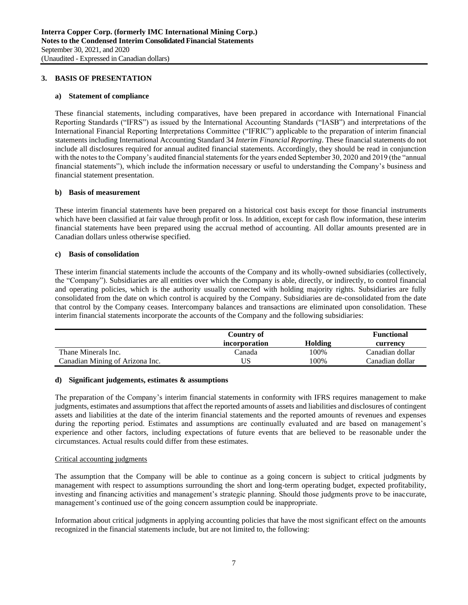### **3. BASIS OF PRESENTATION**

### **a) Statement of compliance**

These financial statements, including comparatives, have been prepared in accordance with International Financial Reporting Standards ("IFRS") as issued by the International Accounting Standards ("IASB") and interpretations of the International Financial Reporting Interpretations Committee ("IFRIC") applicable to the preparation of interim financial statements including International Accounting Standard 34 *Interim Financial Reporting*. These financial statements do not include all disclosures required for annual audited financial statements. Accordingly, they should be read in conjunction with the notes to the Company's audited financial statements for the years ended September 30, 2020 and 2019 (the "annual financial statements"), which include the information necessary or useful to understanding the Company's business and financial statement presentation.

### **b) Basis of measurement**

These interim financial statements have been prepared on a historical cost basis except for those financial instruments which have been classified at fair value through profit or loss. In addition, except for cash flow information, these interim financial statements have been prepared using the accrual method of accounting. All dollar amounts presented are in Canadian dollars unless otherwise specified.

### **c) Basis of consolidation**

These interim financial statements include the accounts of the Company and its wholly-owned subsidiaries (collectively, the "Company"). Subsidiaries are all entities over which the Company is able, directly, or indirectly, to control financial and operating policies, which is the authority usually connected with holding majority rights. Subsidiaries are fully consolidated from the date on which control is acquired by the Company. Subsidiaries are de-consolidated from the date that control by the Company ceases. Intercompany balances and transactions are eliminated upon consolidation. These interim financial statements incorporate the accounts of the Company and the following subsidiaries:

|                                 | Country of    |         | <b>Functional</b> |
|---------------------------------|---------------|---------|-------------------|
|                                 | incorporation | Holding | currency          |
| Thane Minerals Inc.             | Canada        | 100%    | Canadian dollar   |
| Canadian Mining of Arizona Inc. |               | 100%    | Canadian dollar   |

### **d) Significant judgements, estimates & assumptions**

The preparation of the Company's interim financial statements in conformity with IFRS requires management to make judgments, estimates and assumptions that affect the reported amounts of assets and liabilities and disclosures of contingent assets and liabilities at the date of the interim financial statements and the reported amounts of revenues and expenses during the reporting period. Estimates and assumptions are continually evaluated and are based on management's experience and other factors, including expectations of future events that are believed to be reasonable under the circumstances. Actual results could differ from these estimates.

# Critical accounting judgments

The assumption that the Company will be able to continue as a going concern is subject to critical judgments by management with respect to assumptions surrounding the short and long-term operating budget, expected profitability, investing and financing activities and management's strategic planning. Should those judgments prove to be inaccurate, management's continued use of the going concern assumption could be inappropriate.

Information about critical judgments in applying accounting policies that have the most significant effect on the amounts recognized in the financial statements include, but are not limited to, the following: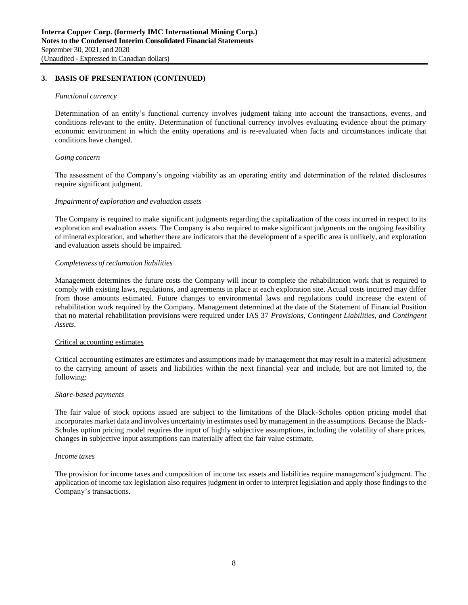# **3. BASIS OF PRESENTATION (CONTINUED)**

#### *Functional currency*

Determination of an entity's functional currency involves judgment taking into account the transactions, events, and conditions relevant to the entity. Determination of functional currency involves evaluating evidence about the primary economic environment in which the entity operations and is re-evaluated when facts and circumstances indicate that conditions have changed.

### *Going concern*

The assessment of the Company's ongoing viability as an operating entity and determination of the related disclosures require significant judgment.

#### *Impairment of exploration and evaluation assets*

The Company is required to make significant judgments regarding the capitalization of the costs incurred in respect to its exploration and evaluation assets. The Company is also required to make significant judgments on the ongoing feasibility of mineral exploration, and whether there are indicators that the development of a specific area is unlikely, and exploration and evaluation assets should be impaired.

### *Completeness of reclamation liabilities*

Management determines the future costs the Company will incur to complete the rehabilitation work that is required to comply with existing laws, regulations, and agreements in place at each exploration site. Actual costs incurred may differ from those amounts estimated. Future changes to environmental laws and regulations could increase the extent of rehabilitation work required by the Company. Management determined at the date of the Statement of Financial Position that no material rehabilitation provisions were required under IAS 37 *Provisions, Contingent Liabilities, and Contingent Assets*.

#### Critical accounting estimates

Critical accounting estimates are estimates and assumptions made by management that may result in a material adjustment to the carrying amount of assets and liabilities within the next financial year and include, but are not limited to, the following:

#### *Share-based payments*

The fair value of stock options issued are subject to the limitations of the Black-Scholes option pricing model that incorporates market data and involves uncertainty in estimates used by management in the assumptions. Because the Black-Scholes option pricing model requires the input of highly subjective assumptions, including the volatility of share prices, changes in subjective input assumptions can materially affect the fair value estimate.

#### *Income taxes*

The provision for income taxes and composition of income tax assets and liabilities require management's judgment. The application of income tax legislation also requires judgment in order to interpret legislation and apply those findings to the Company's transactions.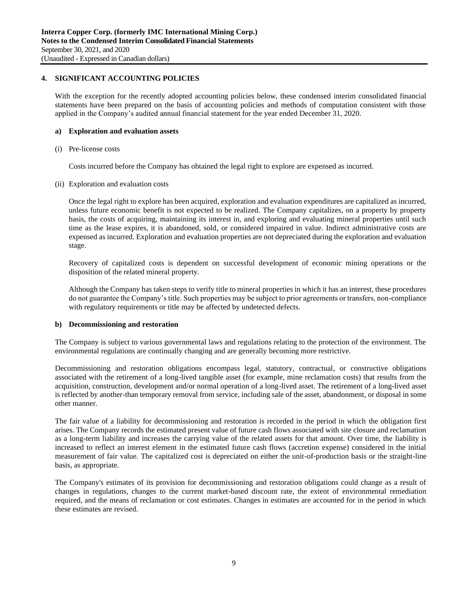# **4. SIGNIFICANT ACCOUNTING POLICIES**

With the exception for the recently adopted accounting policies below, these condensed interim consolidated financial statements have been prepared on the basis of accounting policies and methods of computation consistent with those applied in the Company's audited annual financial statement for the year ended December 31, 2020.

#### **a) Exploration and evaluation assets**

(i) Pre-license costs

Costs incurred before the Company has obtained the legal right to explore are expensed as incurred.

(ii) Exploration and evaluation costs

Once the legal right to explore has been acquired, exploration and evaluation expenditures are capitalized as incurred, unless future economic benefit is not expected to be realized. The Company capitalizes, on a property by property basis, the costs of acquiring, maintaining its interest in, and exploring and evaluating mineral properties until such time as the lease expires, it is abandoned, sold, or considered impaired in value. Indirect administrative costs are expensed as incurred. Exploration and evaluation properties are not depreciated during the exploration and evaluation stage.

Recovery of capitalized costs is dependent on successful development of economic mining operations or the disposition of the related mineral property.

Although the Company has taken steps to verify title to mineral properties in which it has an interest, these procedures do not guarantee the Company's title. Such properties may be subject to prior agreements or transfers, non-compliance with regulatory requirements or title may be affected by undetected defects.

#### **b) Decommissioning and restoration**

The Company is subject to various governmental laws and regulations relating to the protection of the environment. The environmental regulations are continually changing and are generally becoming more restrictive.

Decommissioning and restoration obligations encompass legal, statutory, contractual, or constructive obligations associated with the retirement of a long-lived tangible asset (for example, mine reclamation costs) that results from the acquisition, construction, development and/or normal operation of a long-lived asset. The retirement of a long-lived asset is reflected by another-than temporary removal from service, including sale of the asset, abandonment, or disposal in some other manner.

The fair value of a liability for decommissioning and restoration is recorded in the period in which the obligation first arises. The Company records the estimated present value of future cash flows associated with site closure and reclamation as a long-term liability and increases the carrying value of the related assets for that amount. Over time, the liability is increased to reflect an interest element in the estimated future cash flows (accretion expense) considered in the initial measurement of fair value. The capitalized cost is depreciated on either the unit-of-production basis or the straight-line basis, as appropriate.

The Company's estimates of its provision for decommissioning and restoration obligations could change as a result of changes in regulations, changes to the current market-based discount rate, the extent of environmental remediation required, and the means of reclamation or cost estimates. Changes in estimates are accounted for in the period in which these estimates are revised.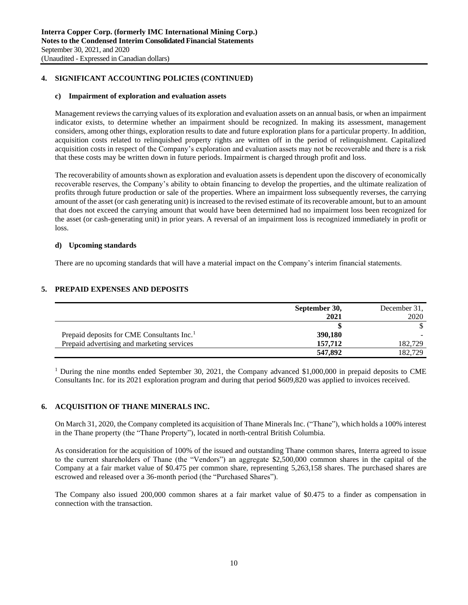# **4. SIGNIFICANT ACCOUNTING POLICIES (CONTINUED)**

### **c) Impairment of exploration and evaluation assets**

Management reviews the carrying values of its exploration and evaluation assets on an annual basis, or when an impairment indicator exists, to determine whether an impairment should be recognized. In making its assessment, management considers, among other things, exploration results to date and future exploration plans for a particular property. In addition, acquisition costs related to relinquished property rights are written off in the period of relinquishment. Capitalized acquisition costs in respect of the Company's exploration and evaluation assets may not be recoverable and there is a risk that these costs may be written down in future periods. Impairment is charged through profit and loss.

The recoverability of amounts shown as exploration and evaluation assets is dependent upon the discovery of economically recoverable reserves, the Company's ability to obtain financing to develop the properties, and the ultimate realization of profits through future production or sale of the properties. Where an impairment loss subsequently reverses, the carrying amount of the asset (or cash generating unit) is increased to the revised estimate of its recoverable amount, but to an amount that does not exceed the carrying amount that would have been determined had no impairment loss been recognized for the asset (or cash-generating unit) in prior years. A reversal of an impairment loss is recognized immediately in profit or loss.

### **d) Upcoming standards**

There are no upcoming standards that will have a material impact on the Company's interim financial statements.

# **5. PREPAID EXPENSES AND DEPOSITS**

|                                                        | September 30, | December 31. |
|--------------------------------------------------------|---------------|--------------|
|                                                        | 2021          | 2020         |
|                                                        |               |              |
| Prepaid deposits for CME Consultants Inc. <sup>1</sup> | 390,180       |              |
| Prepaid advertising and marketing services             | 157,712       | 182,729      |
|                                                        | 547.892       | 182.729      |

<sup>1</sup> During the nine months ended September 30, 2021, the Company advanced \$1,000,000 in prepaid deposits to CME Consultants Inc. for its 2021 exploration program and during that period \$609,820 was applied to invoices received.

### **6. ACQUISITION OF THANE MINERALS INC.**

On March 31, 2020, the Company completed its acquisition of Thane Minerals Inc. ("Thane"), which holds a 100% interest in the Thane property (the "Thane Property"), located in north-central British Columbia.

As consideration for the acquisition of 100% of the issued and outstanding Thane common shares, Interra agreed to issue to the current shareholders of Thane (the "Vendors") an aggregate \$2,500,000 common shares in the capital of the Company at a fair market value of \$0.475 per common share, representing 5,263,158 shares. The purchased shares are escrowed and released over a 36-month period (the "Purchased Shares").

The Company also issued 200,000 common shares at a fair market value of \$0.475 to a finder as compensation in connection with the transaction.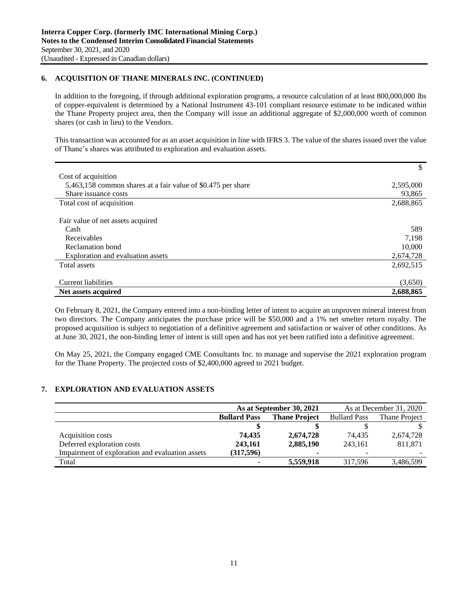# **6. ACQUISITION OF THANE MINERALS INC. (CONTINUED)**

In addition to the foregoing, if through additional exploration programs, a resource calculation of at least 800,000,000 lbs of copper-equivalent is determined by a National Instrument 43-101 compliant resource estimate to be indicated within the Thane Property project area, then the Company will issue an additional aggregate of \$2,000,000 worth of common shares (or cash in lieu) to the Vendors.

This transaction was accounted for as an asset acquisition in line with IFRS 3. The value of the shares issued over the value of Thane's shares was attributed to exploration and evaluation assets.

|                                                              | \$        |
|--------------------------------------------------------------|-----------|
| Cost of acquisition                                          |           |
| 5,463,158 common shares at a fair value of \$0.475 per share | 2,595,000 |
| Share issuance costs                                         | 93,865    |
| Total cost of acquisition                                    | 2,688,865 |
|                                                              |           |
| Fair value of net assets acquired                            |           |
| Cash                                                         | 589       |
| Receivables                                                  | 7,198     |
| Reclamation bond                                             | 10,000    |
| Exploration and evaluation assets                            | 2,674,728 |
| Total assets                                                 | 2,692,515 |
|                                                              |           |
| <b>Current liabilities</b>                                   | (3,650)   |
| Net assets acquired                                          | 2,688,865 |

On February 8, 2021, the Company entered into a non-binding letter of intent to acquire an unproven mineral interest from two directors. The Company anticipates the purchase price will be \$50,000 and a 1% net smelter return royalty. The proposed acquisition is subject to negotiation of a definitive agreement and satisfaction or waiver of other conditions. As at June 30, 2021, the non-binding letter of intent is still open and has not yet been ratified into a definitive agreement.

On May 25, 2021, the Company engaged CME Consultants Inc. to manage and supervise the 2021 exploration program for the Thane Property. The projected costs of \$2,400,000 agreed to 2021 budget.

# **7. EXPLORATION AND EVALUATION ASSETS**

|                                                 | As at September 30, 2021 |                      |                     | As at December 31, 2020 |
|-------------------------------------------------|--------------------------|----------------------|---------------------|-------------------------|
|                                                 | <b>Bullard Pass</b>      | <b>Thane Project</b> | <b>Bullard Pass</b> | Thane Project           |
|                                                 |                          |                      |                     |                         |
| Acquisition costs                               | 74.435                   | 2,674,728            | 74.435              | 2,674,728               |
| Deferred exploration costs                      | 243,161                  | 2,885,190            | 243.161             | 811,871                 |
| Impairment of exploration and evaluation assets | (317,596)                | ۰                    |                     |                         |
| Total                                           |                          | 5,559,918            | 317.596             | 3,486,599               |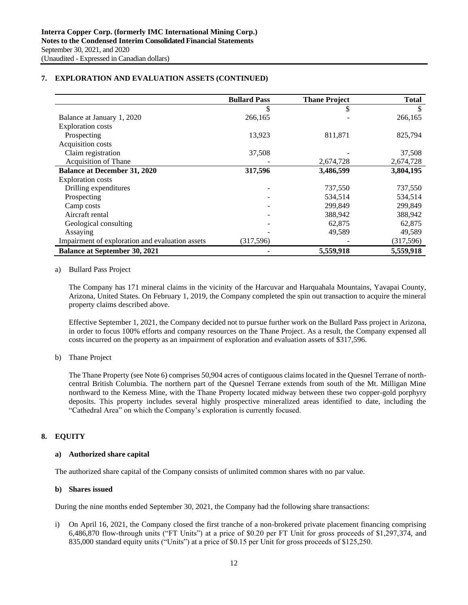# **7. EXPLORATION AND EVALUATION ASSETS (CONTINUED)**

|                                                 | <b>Bullard Pass</b> | <b>Thane Project</b> | <b>Total</b> |
|-------------------------------------------------|---------------------|----------------------|--------------|
|                                                 |                     |                      | S            |
| Balance at January 1, 2020                      | 266,165             |                      | 266,165      |
| <b>Exploration costs</b>                        |                     |                      |              |
| Prospecting                                     | 13,923              | 811,871              | 825,794      |
| Acquisition costs                               |                     |                      |              |
| Claim registration                              | 37,508              |                      | 37,508       |
| Acquisition of Thane                            |                     | 2,674,728            | 2,674,728    |
| <b>Balance at December 31, 2020</b>             | 317,596             | 3,486,599            | 3,804,195    |
| <b>Exploration</b> costs                        |                     |                      |              |
| Drilling expenditures                           |                     | 737,550              | 737,550      |
| Prospecting                                     |                     | 534,514              | 534,514      |
| Camp costs                                      |                     | 299,849              | 299,849      |
| Aircraft rental                                 |                     | 388,942              | 388,942      |
| Geological consulting                           |                     | 62,875               | 62,875       |
| Assaying                                        |                     | 49,589               | 49,589       |
| Impairment of exploration and evaluation assets | (317, 596)          |                      | (317,596)    |
| <b>Balance at September 30, 2021</b>            |                     | 5,559,918            | 5,559,918    |

#### a) Bullard Pass Project

The Company has 171 mineral claims in the vicinity of the Harcuvar and Harquahala Mountains, Yavapai County, Arizona, United States. On February 1, 2019, the Company completed the spin out transaction to acquire the mineral property claims described above.

Effective September 1, 2021, the Company decided not to pursue further work on the Bullard Pass project in Arizona, in order to focus 100% efforts and company resources on the Thane Project. As a result, the Company expensed all costs incurred on the property as an impairment of exploration and evaluation assets of \$317,596.

# b) Thane Project

The Thane Property (see Note 6) comprises 50,904 acres of contiguous claims located in the Quesnel Terrane of northcentral British Columbia. The northern part of the Quesnel Terrane extends from south of the Mt. Milligan Mine northward to the Kemess Mine, with the Thane Property located midway between these two copper-gold porphyry deposits. This property includes several highly prospective mineralized areas identified to date, including the "Cathedral Area" on which the Company's exploration is currently focused.

# **8. EQUITY**

### **a) Authorized share capital**

The authorized share capital of the Company consists of unlimited common shares with no par value.

### **b) Shares issued**

During the nine months ended September 30, 2021, the Company had the following share transactions:

i) On April 16, 2021, the Company closed the first tranche of a non-brokered private placement financing comprising 6,486,870 flow-through units ("FT Units") at a price of \$0.20 per FT Unit for gross proceeds of \$1,297,374, and 835,000 standard equity units ("Units") at a price of \$0.15 per Unit for gross proceeds of \$125,250.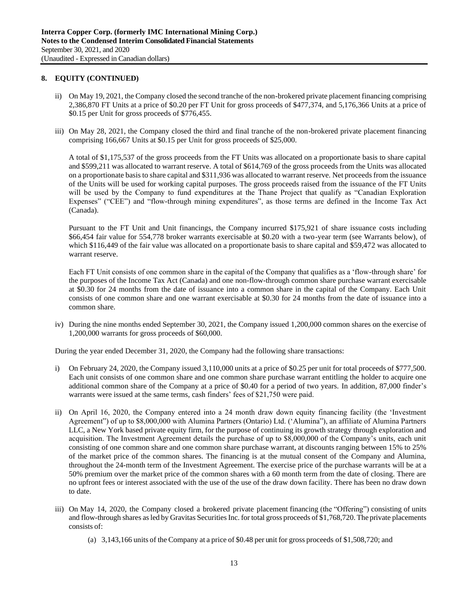- ii) On May 19, 2021, the Company closed the second tranche of the non-brokered private placement financing comprising 2,386,870 FT Units at a price of \$0.20 per FT Unit for gross proceeds of \$477,374, and 5,176,366 Units at a price of \$0.15 per Unit for gross proceeds of \$776,455.
- iii) On May 28, 2021, the Company closed the third and final tranche of the non-brokered private placement financing comprising 166,667 Units at \$0.15 per Unit for gross proceeds of \$25,000.

A total of \$1,175,537 of the gross proceeds from the FT Units was allocated on a proportionate basis to share capital and \$599,211 was allocated to warrant reserve. A total of \$614,769 of the gross proceeds from the Units was allocated on a proportionate basis to share capital and \$311,936 was allocated to warrant reserve. Net proceeds from the issuance of the Units will be used for working capital purposes. The gross proceeds raised from the issuance of the FT Units will be used by the Company to fund expenditures at the Thane Project that qualify as "Canadian Exploration Expenses" ("CEE") and "flow-through mining expenditures", as those terms are defined in the Income Tax Act (Canada).

Pursuant to the FT Unit and Unit financings, the Company incurred \$175,921 of share issuance costs including \$66,454 fair value for 554,778 broker warrants exercisable at \$0.20 with a two-year term (see Warrants below), of which \$116,449 of the fair value was allocated on a proportionate basis to share capital and \$59,472 was allocated to warrant reserve.

Each FT Unit consists of one common share in the capital of the Company that qualifies as a 'flow-through share' for the purposes of the Income Tax Act (Canada) and one non-flow-through common share purchase warrant exercisable at \$0.30 for 24 months from the date of issuance into a common share in the capital of the Company. Each Unit consists of one common share and one warrant exercisable at \$0.30 for 24 months from the date of issuance into a common share.

iv) During the nine months ended September 30, 2021, the Company issued 1,200,000 common shares on the exercise of 1,200,000 warrants for gross proceeds of \$60,000.

During the year ended December 31, 2020, the Company had the following share transactions:

- i) On February 24, 2020, the Company issued 3,110,000 units at a price of \$0.25 per unit for total proceeds of \$777,500. Each unit consists of one common share and one common share purchase warrant entitling the holder to acquire one additional common share of the Company at a price of \$0.40 for a period of two years. In addition, 87,000 finder's warrants were issued at the same terms, cash finders' fees of \$21,750 were paid.
- ii) On April 16, 2020, the Company entered into a 24 month draw down equity financing facility (the 'Investment Agreement") of up to \$8,000,000 with Alumina Partners (Ontario) Ltd. ('Alumina"), an affiliate of Alumina Partners LLC, a New York based private equity firm, for the purpose of continuing its growth strategy through exploration and acquisition. The Investment Agreement details the purchase of up to \$8,000,000 of the Company's units, each unit consisting of one common share and one common share purchase warrant, at discounts ranging between 15% to 25% of the market price of the common shares. The financing is at the mutual consent of the Company and Alumina, throughout the 24-month term of the Investment Agreement. The exercise price of the purchase warrants will be at a 50% premium over the market price of the common shares with a 60 month term from the date of closing. There are no upfront fees or interest associated with the use of the use of the draw down facility. There has been no draw down to date.
- iii) On May 14, 2020, the Company closed a brokered private placement financing (the "Offering") consisting of units and flow-through shares as led by Gravitas Securities Inc. for total gross proceeds of \$1,768,720. The private placements consists of:
	- (a) 3,143,166 units of the Company at a price of \$0.48 per unit for gross proceeds of \$1,508,720; and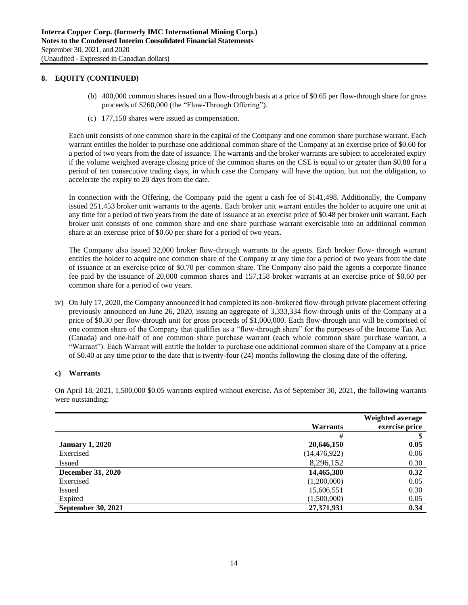- (b) 400,000 common shares issued on a flow-through basis at a price of \$0.65 per flow-through share for gross proceeds of \$260,000 (the "Flow-Through Offering").
- (c) 177,158 shares were issued as compensation.

Each unit consists of one common share in the capital of the Company and one common share purchase warrant. Each warrant entitles the holder to purchase one additional common share of the Company at an exercise price of \$0.60 for a period of two years from the date of issuance. The warrants and the broker warrants are subject to accelerated expiry if the volume weighted average closing price of the common shares on the CSE is equal to or greater than \$0.88 for a period of ten consecutive trading days, in which case the Company will have the option, but not the obligation, to accelerate the expiry to 20 days from the date.

In connection with the Offering, the Company paid the agent a cash fee of \$141,498. Additionally, the Company issued 251,453 broker unit warrants to the agents. Each broker unit warrant entitles the holder to acquire one unit at any time for a period of two years from the date of issuance at an exercise price of \$0.48 per broker unit warrant. Each broker unit consists of one common share and one share purchase warrant exercisable into an additional common share at an exercise price of \$0.60 per share for a period of two years.

The Company also issued 32,000 broker flow-through warrants to the agents. Each broker flow- through warrant entitles the holder to acquire one common share of the Company at any time for a period of two years from the date of issuance at an exercise price of \$0.70 per common share. The Company also paid the agents a corporate finance fee paid by the issuance of 20,000 common shares and 157,158 broker warrants at an exercise price of \$0.60 per common share for a period of two years.

iv) On July 17, 2020, the Company announced it had completed its non-brokered flow-through private placement offering previously announced on June 26, 2020, issuing an aggregate of 3,333,334 flow-through units of the Company at a price of \$0.30 per flow-through unit for gross proceeds of \$1,000,000. Each flow-through unit will be comprised of one common share of the Company that qualifies as a "flow-through share" for the purposes of the Income Tax Act (Canada) and one-half of one common share purchase warrant (each whole common share purchase warrant, a "Warrant"). Each Warrant will entitle the holder to purchase one additional common share of the Company at a price of \$0.40 at any time prior to the date that is twenty-four (24) months following the closing date of the offering.

### **c) Warrants**

On April 18, 2021, 1,500,000 \$0.05 warrants expired without exercise. As of September 30, 2021, the following warrants were outstanding:

|                           | Warrants       | Weighted average<br>exercise price |
|---------------------------|----------------|------------------------------------|
|                           | #              |                                    |
| <b>January 1, 2020</b>    | 20,646,150     | 0.05                               |
| Exercised                 | (14, 476, 922) | 0.06                               |
| <b>Issued</b>             | 8,296,152      | 0.30                               |
| <b>December 31, 2020</b>  | 14,465,380     | 0.32                               |
| Exercised                 | (1,200,000)    | 0.05                               |
| <b>Issued</b>             | 15,606,551     | 0.30                               |
| Expired                   | (1,500,000)    | 0.05                               |
| <b>September 30, 2021</b> | 27,371,931     | 0.34                               |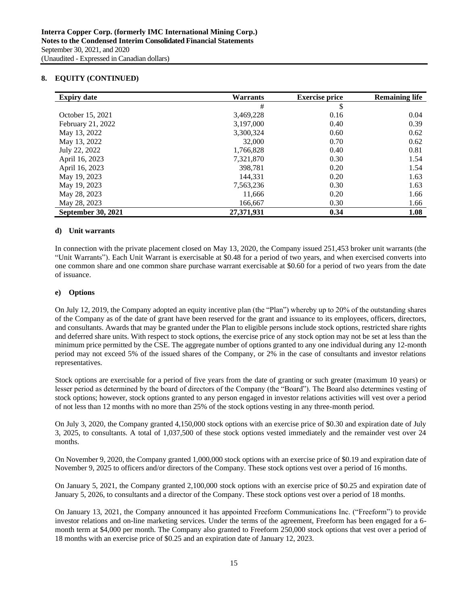| <b>Expiry date</b>        | <b>Warrants</b> | <b>Exercise price</b> | <b>Remaining life</b> |
|---------------------------|-----------------|-----------------------|-----------------------|
|                           | #               | \$                    |                       |
| October 15, 2021          | 3,469,228       | 0.16                  | 0.04                  |
| February 21, 2022         | 3,197,000       | 0.40                  | 0.39                  |
| May 13, 2022              | 3,300,324       | 0.60                  | 0.62                  |
| May 13, 2022              | 32,000          | 0.70                  | 0.62                  |
| July 22, 2022             | 1,766,828       | 0.40                  | 0.81                  |
| April 16, 2023            | 7,321,870       | 0.30                  | 1.54                  |
| April 16, 2023            | 398,781         | 0.20                  | 1.54                  |
| May 19, 2023              | 144.331         | 0.20                  | 1.63                  |
| May 19, 2023              | 7,563,236       | 0.30                  | 1.63                  |
| May 28, 2023              | 11,666          | 0.20                  | 1.66                  |
| May 28, 2023              | 166,667         | 0.30                  | 1.66                  |
| <b>September 30, 2021</b> | 27,371,931      | 0.34                  | 1.08                  |

### **d) Unit warrants**

In connection with the private placement closed on May 13, 2020, the Company issued 251,453 broker unit warrants (the "Unit Warrants"). Each Unit Warrant is exercisable at \$0.48 for a period of two years, and when exercised converts into one common share and one common share purchase warrant exercisable at \$0.60 for a period of two years from the date of issuance.

#### **e) Options**

On July 12, 2019, the Company adopted an equity incentive plan (the "Plan") whereby up to 20% of the outstanding shares of the Company as of the date of grant have been reserved for the grant and issuance to its employees, officers, directors, and consultants. Awards that may be granted under the Plan to eligible persons include stock options, restricted share rights and deferred share units. With respect to stock options, the exercise price of any stock option may not be set at less than the minimum price permitted by the CSE. The aggregate number of options granted to any one individual during any 12-month period may not exceed 5% of the issued shares of the Company, or 2% in the case of consultants and investor relations representatives.

Stock options are exercisable for a period of five years from the date of granting or such greater (maximum 10 years) or lesser period as determined by the board of directors of the Company (the "Board"). The Board also determines vesting of stock options; however, stock options granted to any person engaged in investor relations activities will vest over a period of not less than 12 months with no more than 25% of the stock options vesting in any three-month period.

On July 3, 2020, the Company granted 4,150,000 stock options with an exercise price of \$0.30 and expiration date of July 3, 2025, to consultants. A total of 1,037,500 of these stock options vested immediately and the remainder vest over 24 months.

On November 9, 2020, the Company granted 1,000,000 stock options with an exercise price of \$0.19 and expiration date of November 9, 2025 to officers and/or directors of the Company. These stock options vest over a period of 16 months.

On January 5, 2021, the Company granted 2,100,000 stock options with an exercise price of \$0.25 and expiration date of January 5, 2026, to consultants and a director of the Company. These stock options vest over a period of 18 months.

On January 13, 2021, the Company announced it has appointed Freeform Communications Inc. ("Freeform") to provide investor relations and on-line marketing services. Under the terms of the agreement, Freeform has been engaged for a 6 month term at \$4,000 per month. The Company also granted to Freeform 250,000 stock options that vest over a period of 18 months with an exercise price of \$0.25 and an expiration date of January 12, 2023.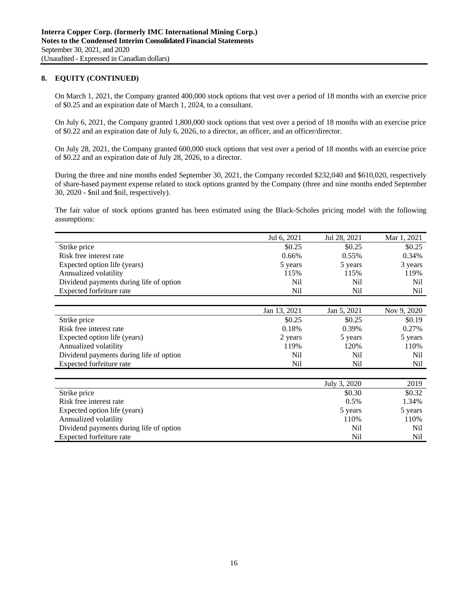On March 1, 2021, the Company granted 400,000 stock options that vest over a period of 18 months with an exercise price of \$0.25 and an expiration date of March 1, 2024, to a consultant.

On July 6, 2021, the Company granted 1,800,000 stock options that vest over a period of 18 months with an exercise price of \$0.22 and an expiration date of July 6, 2026, to a director, an officer, and an officer/director.

On July 28, 2021, the Company granted 600,000 stock options that vest over a period of 18 months with an exercise price of \$0.22 and an expiration date of July 28, 2026, to a director.

During the three and nine months ended September 30, 2021, the Company recorded \$232,040 and \$610,020, respectively of share-based payment expense related to stock options granted by the Company (three and nine months ended September 30, 2020 - \$nil and \$nil, respectively).

The fair value of stock options granted has been estimated using the Black-Scholes pricing model with the following assumptions:

|                                         | Jul 6, 2021  | Jul 28, 2021 | Mar 1, 2021 |
|-----------------------------------------|--------------|--------------|-------------|
| Strike price                            | \$0.25       | \$0.25       | \$0.25      |
| Risk free interest rate                 | 0.66%        | $0.55\%$     | 0.34%       |
| Expected option life (years)            | 5 years      | 5 years      | 3 years     |
| Annualized volatility                   | 115%         | 115%         | 119%        |
| Dividend payments during life of option | Nil          | Nil          | Nil         |
| Expected forfeiture rate                | Nil          | Nil          | Nil         |
|                                         |              |              |             |
|                                         |              |              |             |
|                                         | Jan 13, 2021 | Jan 5, 2021  | Nov 9, 2020 |
| Strike price                            | \$0.25       | \$0.25       | \$0.19      |
| Risk free interest rate                 | 0.18%        | 0.39%        | 0.27%       |
| Expected option life (years)            | 2 years      | 5 years      | 5 years     |
| Annualized volatility                   | 119%         | 120%         | 110%        |

|                                         | July 3, 2020 | 2019            |
|-----------------------------------------|--------------|-----------------|
| Strike price                            | \$0.30       | \$0.32          |
| Risk free interest rate                 | 0.5%         | 1.34%           |
| Expected option life (years)            | 5 years      | 5 years         |
| Annualized volatility                   | 110%         | 110%            |
| Dividend payments during life of option | Nil          | N <sub>il</sub> |
| Expected forfeiture rate                | Nil          | Nil             |

Expected forfeiture rate Nil Nil Nil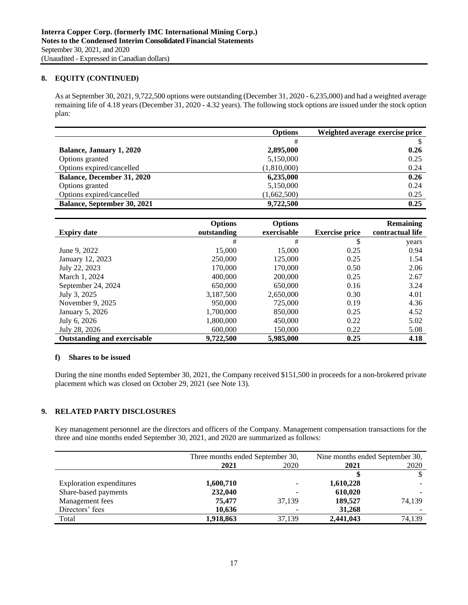As at September 30, 2021, 9,722,500 options were outstanding (December 31, 2020 - 6,235,000) and had a weighted average remaining life of 4.18 years (December 31, 2020 - 4.32 years). The following stock options are issued under the stock option plan:

|                                   | <b>Options</b> | Weighted average exercise price |
|-----------------------------------|----------------|---------------------------------|
|                                   | #              |                                 |
| <b>Balance, January 1, 2020</b>   | 2,895,000      | 0.26                            |
| Options granted                   | 5,150,000      | 0.25                            |
| Options expired/cancelled         | (1,810,000)    | 0.24                            |
| <b>Balance, December 31, 2020</b> | 6,235,000      | 0.26                            |
| Options granted                   | 5,150,000      | 0.24                            |
| Options expired/cancelled         | (1,662,500)    | 0.25                            |
| Balance, September 30, 2021       | 9,722,500      | 0.25                            |

| <b>Expiry date</b>                 | <b>Options</b><br>outstanding | <b>Options</b><br>exercisable | <b>Exercise price</b> | <b>Remaining</b><br>contractual life |
|------------------------------------|-------------------------------|-------------------------------|-----------------------|--------------------------------------|
|                                    | #                             | #                             | \$                    | years                                |
| June 9, 2022                       | 15,000                        | 15,000                        | 0.25                  | 0.94                                 |
| January 12, 2023                   | 250,000                       | 125,000                       | 0.25                  | 1.54                                 |
| July 22, 2023                      | 170,000                       | 170,000                       | 0.50                  | 2.06                                 |
| March 1, 2024                      | 400,000                       | 200,000                       | 0.25                  | 2.67                                 |
| September 24, 2024                 | 650,000                       | 650,000                       | 0.16                  | 3.24                                 |
| July 3, 2025                       | 3,187,500                     | 2.650,000                     | 0.30                  | 4.01                                 |
| November 9, 2025                   | 950,000                       | 725,000                       | 0.19                  | 4.36                                 |
| January 5, 2026                    | 1,700,000                     | 850,000                       | 0.25                  | 4.52                                 |
| July 6, 2026                       | 1,800,000                     | 450,000                       | 0.22                  | 5.02                                 |
| July 28, 2026                      | 600,000                       | 150,000                       | 0.22                  | 5.08                                 |
| <b>Outstanding and exercisable</b> | 9,722,500                     | 5,985,000                     | 0.25                  | 4.18                                 |

### **f) Shares to be issued**

During the nine months ended September 30, 2021, the Company received \$151,500 in proceeds for a non-brokered private placement which was closed on October 29, 2021 (see Note 13).

# **9. RELATED PARTY DISCLOSURES**

Key management personnel are the directors and officers of the Company. Management compensation transactions for the three and nine months ended September 30, 2021, and 2020 are summarized as follows:

|                                 | Three months ended September 30, |        | Nine months ended September 30, |        |
|---------------------------------|----------------------------------|--------|---------------------------------|--------|
|                                 | 2021                             | 2020   | 2021                            | 2020   |
|                                 |                                  |        |                                 |        |
| <b>Exploration expenditures</b> | 1,600,710                        |        | 1,610,228                       |        |
| Share-based payments            | 232,040                          |        | 610,020                         |        |
| Management fees                 | 75.477                           | 37.139 | 189,527                         | 74,139 |
| Directors' fees                 | 10,636                           |        | 31,268                          |        |
| Total                           | 1,918,863                        | 37,139 | 2,441,043                       | 74,139 |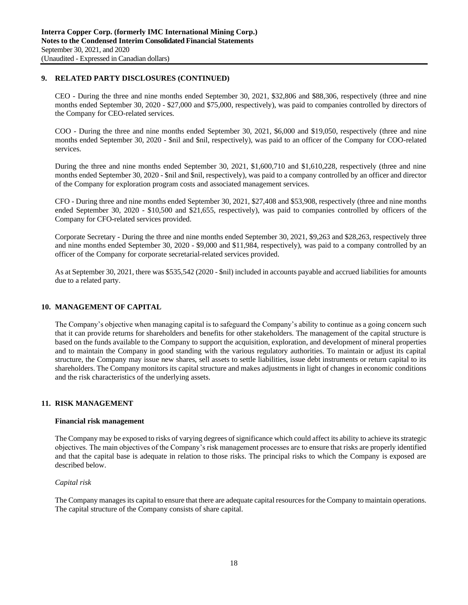# **9. RELATED PARTY DISCLOSURES (CONTINUED)**

CEO - During the three and nine months ended September 30, 2021, \$32,806 and \$88,306, respectively (three and nine months ended September 30, 2020 - \$27,000 and \$75,000, respectively), was paid to companies controlled by directors of the Company for CEO-related services.

COO - During the three and nine months ended September 30, 2021, \$6,000 and \$19,050, respectively (three and nine months ended September 30, 2020 - \$nil and \$nil, respectively), was paid to an officer of the Company for COO-related services.

During the three and nine months ended September 30, 2021, \$1,600,710 and \$1,610,228, respectively (three and nine months ended September 30, 2020 - \$nil and \$nil, respectively), was paid to a company controlled by an officer and director of the Company for exploration program costs and associated management services.

CFO - During three and nine months ended September 30, 2021, \$27,408 and \$53,908, respectively (three and nine months ended September 30, 2020 - \$10,500 and \$21,655, respectively), was paid to companies controlled by officers of the Company for CFO-related services provided.

Corporate Secretary - During the three and nine months ended September 30, 2021, \$9,263 and \$28,263, respectively three and nine months ended September 30, 2020 - \$9,000 and \$11,984, respectively), was paid to a company controlled by an officer of the Company for corporate secretarial-related services provided.

As at September 30, 2021, there was \$535,542 (2020 - \$nil) included in accounts payable and accrued liabilities for amounts due to a related party.

# **10. MANAGEMENT OF CAPITAL**

The Company's objective when managing capital is to safeguard the Company's ability to continue as a going concern such that it can provide returns for shareholders and benefits for other stakeholders. The management of the capital structure is based on the funds available to the Company to support the acquisition, exploration, and development of mineral properties and to maintain the Company in good standing with the various regulatory authorities. To maintain or adjust its capital structure, the Company may issue new shares, sell assets to settle liabilities, issue debt instruments or return capital to its shareholders. The Company monitors its capital structure and makes adjustments in light of changes in economic conditions and the risk characteristics of the underlying assets.

# **11. RISK MANAGEMENT**

### **Financial risk management**

The Company may be exposed to risks of varying degrees of significance which could affect its ability to achieve its strategic objectives. The main objectives of the Company's risk management processes are to ensure that risks are properly identified and that the capital base is adequate in relation to those risks. The principal risks to which the Company is exposed are described below.

### *Capital risk*

The Company manages its capital to ensure that there are adequate capital resources for the Company to maintain operations. The capital structure of the Company consists of share capital.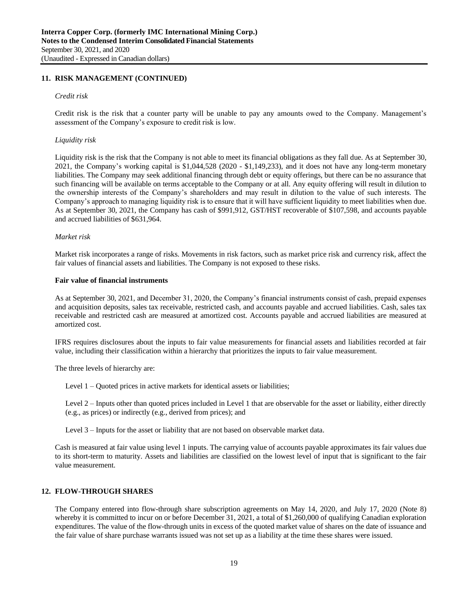# **11. RISK MANAGEMENT (CONTINUED)**

#### *Credit risk*

Credit risk is the risk that a counter party will be unable to pay any amounts owed to the Company. Management's assessment of the Company's exposure to credit risk is low.

#### *Liquidity risk*

Liquidity risk is the risk that the Company is not able to meet its financial obligations as they fall due. As at September 30, 2021, the Company's working capital is \$1,044,528 (2020 - \$1,149,233), and it does not have any long-term monetary liabilities. The Company may seek additional financing through debt or equity offerings, but there can be no assurance that such financing will be available on terms acceptable to the Company or at all. Any equity offering will result in dilution to the ownership interests of the Company's shareholders and may result in dilution to the value of such interests. The Company's approach to managing liquidity risk is to ensure that it will have sufficient liquidity to meet liabilities when due. As at September 30, 2021, the Company has cash of \$991,912, GST/HST recoverable of \$107,598, and accounts payable and accrued liabilities of \$631,964.

#### *Market risk*

Market risk incorporates a range of risks. Movements in risk factors, such as market price risk and currency risk, affect the fair values of financial assets and liabilities. The Company is not exposed to these risks.

#### **Fair value of financial instruments**

As at September 30, 2021, and December 31, 2020, the Company's financial instruments consist of cash, prepaid expenses and acquisition deposits, sales tax receivable, restricted cash, and accounts payable and accrued liabilities. Cash, sales tax receivable and restricted cash are measured at amortized cost. Accounts payable and accrued liabilities are measured at amortized cost.

IFRS requires disclosures about the inputs to fair value measurements for financial assets and liabilities recorded at fair value, including their classification within a hierarchy that prioritizes the inputs to fair value measurement.

The three levels of hierarchy are:

Level 1 – Quoted prices in active markets for identical assets or liabilities;

Level 2 – Inputs other than quoted prices included in Level 1 that are observable for the asset or liability, either directly (e.g., as prices) or indirectly (e.g., derived from prices); and

Level 3 – Inputs for the asset or liability that are not based on observable market data.

Cash is measured at fair value using level 1 inputs. The carrying value of accounts payable approximates its fair values due to its short-term to maturity. Assets and liabilities are classified on the lowest level of input that is significant to the fair value measurement.

# **12. FLOW-THROUGH SHARES**

The Company entered into flow-through share subscription agreements on May 14, 2020, and July 17, 2020 (Note 8) whereby it is committed to incur on or before December 31, 2021, a total of \$1,260,000 of qualifying Canadian exploration expenditures. The value of the flow-through units in excess of the quoted market value of shares on the date of issuance and the fair value of share purchase warrants issued was not set up as a liability at the time these shares were issued.